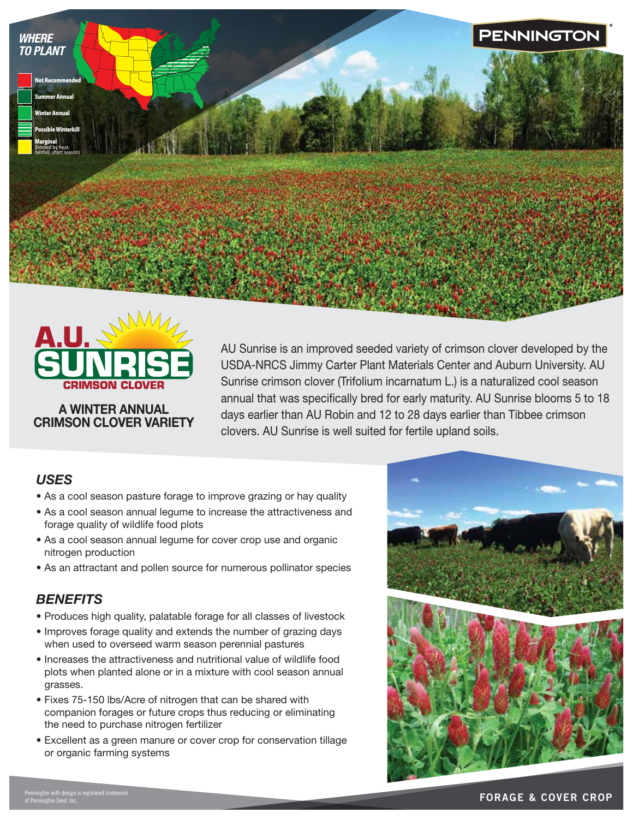



#### A WINTER ANNUAL CRIMSON CLOVER VARIETY

AU Sunrise is an improved seeded variety of crimson clover developed by the USDA-NRCS Jimmy Carter Plant Materials Center and Auburn University. AU Sunrise crimson clover (Trifolium incarnatum L.) is a naturalized cool season annual that was specifically bred for early maturity. AU Sunrise blooms 5 to 18 days earlier than AU Robin and 12 to 28 days earlier than Tibbee crimson clovers. AU Sunrise is well suited for fertile upland soils.

### *USES*

- As a cool season pasture forage to improve grazing or hay quality
- As a cool season annual legume to increase the attractiveness and forage quality of wildlife food plots
- As a cool season annual legume for cover crop use and organic nitrogen production
- As an attractant and pollen source for numerous pollinator species

### *BENEFITS*

- Produces high quality, palatable forage for all classes of livestock
- Improves forage quality and extends the number of grazing days when used to overseed warm season perennial pastures
- Increases the attractiveness and nutritional value of wildlife food plots when planted alone or in a mixture with cool season annual grasses.
- Fixes 75-150 lbs/Acre of nitrogen that can be shared with companion forages or future crops thus reducing or eliminating the need to purchase nitrogen fertilizer
- Excellent as a green manure or cover crop for conservation tillage or organic farming systems